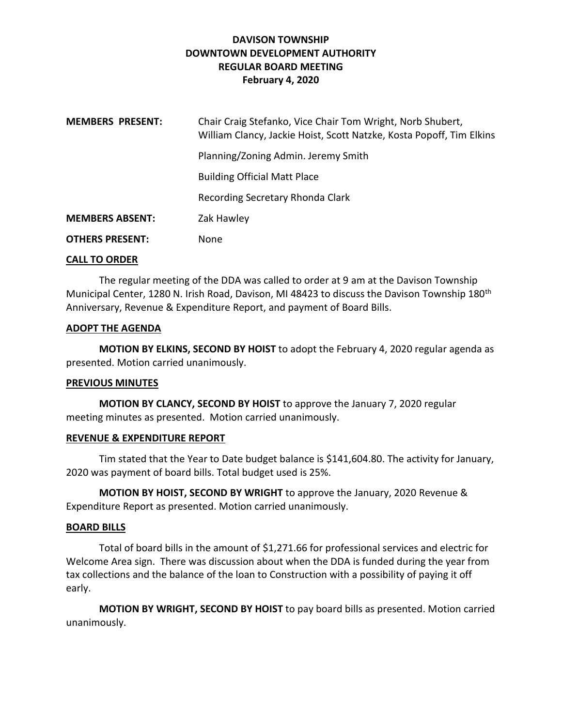# **DAVISON TOWNSHIP DOWNTOWN DEVELOPMENT AUTHORITY REGULAR BOARD MEETING February 4, 2020**

| <b>MEMBERS PRESENT:</b> | Chair Craig Stefanko, Vice Chair Tom Wright, Norb Shubert,<br>William Clancy, Jackie Hoist, Scott Natzke, Kosta Popoff, Tim Elkins |
|-------------------------|------------------------------------------------------------------------------------------------------------------------------------|
|                         | Planning/Zoning Admin. Jeremy Smith                                                                                                |
|                         | <b>Building Official Matt Place</b>                                                                                                |
|                         | Recording Secretary Rhonda Clark                                                                                                   |
| <b>MEMBERS ABSENT:</b>  | Zak Hawley                                                                                                                         |
| <b>OTHERS PRESENT:</b>  | None                                                                                                                               |

#### **CALL TO ORDER**

The regular meeting of the DDA was called to order at 9 am at the Davison Township Municipal Center, 1280 N. Irish Road, Davison, MI 48423 to discuss the Davison Township 180<sup>th</sup> Anniversary, Revenue & Expenditure Report, and payment of Board Bills.

#### **ADOPT THE AGENDA**

**MOTION BY ELKINS, SECOND BY HOIST** to adopt the February 4, 2020 regular agenda as presented. Motion carried unanimously.

# **PREVIOUS MINUTES**

**MOTION BY CLANCY, SECOND BY HOIST** to approve the January 7, 2020 regular meeting minutes as presented. Motion carried unanimously.

# **REVENUE & EXPENDITURE REPORT**

Tim stated that the Year to Date budget balance is \$141,604.80. The activity for January, 2020 was payment of board bills. Total budget used is 25%.

**MOTION BY HOIST, SECOND BY WRIGHT** to approve the January, 2020 Revenue & Expenditure Report as presented. Motion carried unanimously.

# **BOARD BILLS**

Total of board bills in the amount of \$1,271.66 for professional services and electric for Welcome Area sign. There was discussion about when the DDA is funded during the year from tax collections and the balance of the loan to Construction with a possibility of paying it off early.

**MOTION BY WRIGHT, SECOND BY HOIST** to pay board bills as presented. Motion carried unanimously.